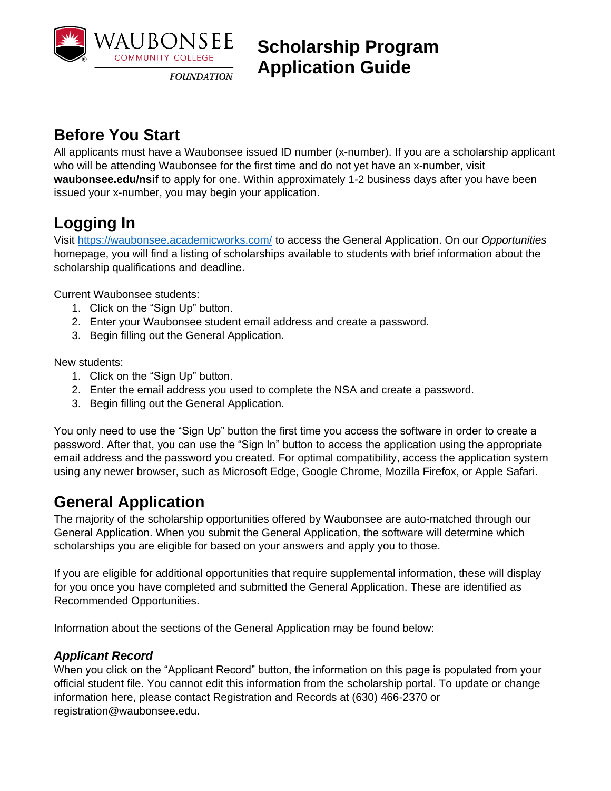

 **Scholarship Program Application Guide**

### **Before You Start**

All applicants must have a Waubonsee issued ID number (x-number). If you are a scholarship applicant who will be attending Waubonsee for the first time and do not yet have an x-number, visit **waubonsee.edu/nsif** to apply for one. Within approximately 1-2 business days after you have been issued your x-number, you may begin your application.

# **Logging In**

Visit<https://waubonsee.academicworks.com/> to access the General Application. On our *Opportunities* homepage, you will find a listing of scholarships available to students with brief information about the scholarship qualifications and deadline.

Current Waubonsee students:

- 1. Click on the "Sign Up" button.
- 2. Enter your Waubonsee student email address and create a password.
- 3. Begin filling out the General Application.

New students:

- 1. Click on the "Sign Up" button.
- 2. Enter the email address you used to complete the NSA and create a password.
- 3. Begin filling out the General Application.

You only need to use the "Sign Up" button the first time you access the software in order to create a password. After that, you can use the "Sign In" button to access the application using the appropriate email address and the password you created. For optimal compatibility, access the application system using any newer browser, such as Microsoft Edge, Google Chrome, Mozilla Firefox, or Apple Safari.

## **General Application**

The majority of the scholarship opportunities offered by Waubonsee are auto-matched through our General Application. When you submit the General Application, the software will determine which scholarships you are eligible for based on your answers and apply you to those.

If you are eligible for additional opportunities that require supplemental information, these will display for you once you have completed and submitted the General Application. These are identified as Recommended Opportunities.

Information about the sections of the General Application may be found below:

### *Applicant Record*

When you click on the "Applicant Record" button, the information on this page is populated from your official student file. You cannot edit this information from the scholarship portal. To update or change information here, please contact Registration and Records at (630) 466-2370 or registration@waubonsee.edu.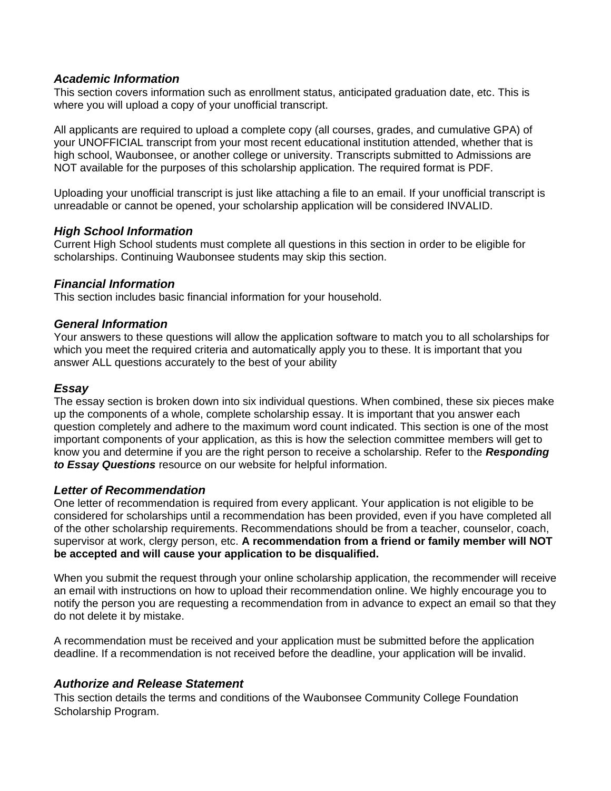#### *Academic Information*

This section covers information such as enrollment status, anticipated graduation date, etc. This is where you will upload a copy of your unofficial transcript.

All applicants are required to upload a complete copy (all courses, grades, and cumulative GPA) of your UNOFFICIAL transcript from your most recent educational institution attended, whether that is high school, Waubonsee, or another college or university. Transcripts submitted to Admissions are NOT available for the purposes of this scholarship application. The required format is PDF.

Uploading your unofficial transcript is just like attaching a file to an email. If your unofficial transcript is unreadable or cannot be opened, your scholarship application will be considered INVALID.

#### *High School Information*

Current High School students must complete all questions in this section in order to be eligible for scholarships. Continuing Waubonsee students may skip this section.

#### *Financial Information*

This section includes basic financial information for your household.

#### *General Information*

Your answers to these questions will allow the application software to match you to all scholarships for which you meet the required criteria and automatically apply you to these. It is important that you answer ALL questions accurately to the best of your ability

#### *Essay*

The essay section is broken down into six individual questions. When combined, these six pieces make up the components of a whole, complete scholarship essay. It is important that you answer each question completely and adhere to the maximum word count indicated. This section is one of the most important components of your application, as this is how the selection committee members will get to know you and determine if you are the right person to receive a scholarship. Refer to the *Responding to Essay Questions* resource on our website for helpful information.

#### *Letter of Recommendation*

One letter of recommendation is required from every applicant. Your application is not eligible to be considered for scholarships until a recommendation has been provided, even if you have completed all of the other scholarship requirements. Recommendations should be from a teacher, counselor, coach, supervisor at work, clergy person, etc. **A recommendation from a friend or family member will NOT be accepted and will cause your application to be disqualified.**

When you submit the request through your online scholarship application, the recommender will receive an email with instructions on how to upload their recommendation online. We highly encourage you to notify the person you are requesting a recommendation from in advance to expect an email so that they do not delete it by mistake.

A recommendation must be received and your application must be submitted before the application deadline. If a recommendation is not received before the deadline, your application will be invalid.

#### *Authorize and Release Statement*

This section details the terms and conditions of the Waubonsee Community College Foundation Scholarship Program.